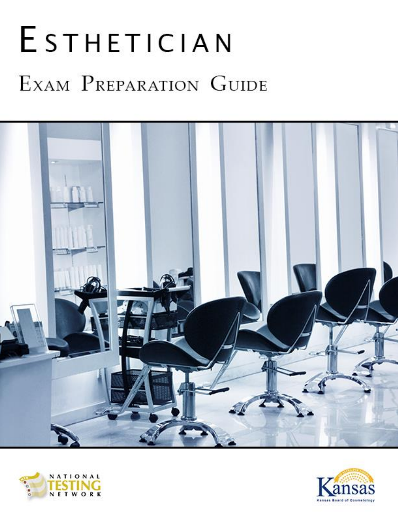# ESTHETICIAN EXAM PREPARATION GUIDE





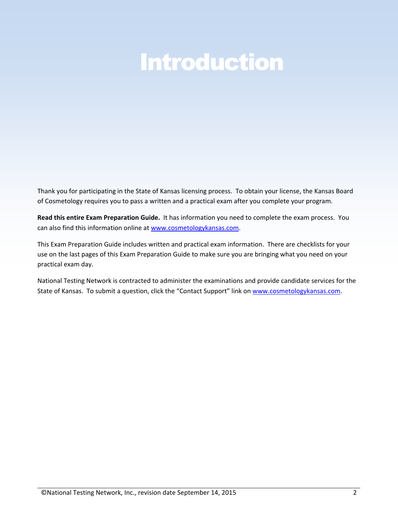### Introduction

Thank you for participating in the State of Kansas licensing process. To obtain your license, the Kansas Board of Cosmetology requires you to pass a written and a practical exam after you complete your program.

**Read this entire Exam Preparation Guide.** It has information you need to complete the exam process. You can also find this information online at [www.cosmetologykansas.com](http://www.cosmetologykansas.com/).

This Exam Preparation Guide includes written and practical exam information. There are checklists for your use on the last pages of this Exam Preparation Guide to make sure you are bringing what you need on your practical exam day.

National Testing Network is contracted to administer the examinations and provide candidate services for the State of Kansas. To submit a question, click the "Contact Support" link o[n www.cosmetologykansas.com.](http://www.cosmetologykansas.com/)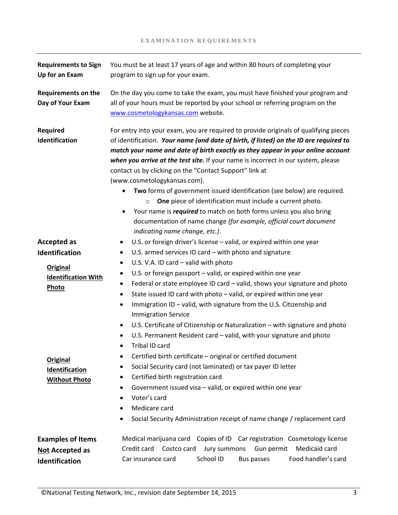| <b>Requirements to Sign</b><br>Up for an Exam                                                                              | You must be at least 17 years of age and within 80 hours of completing your<br>program to sign up for your exam.                                                                                                                                                                                                                                                                                                                                                                                                                                                                                                                                                                                                                                                                                                                                                       |
|----------------------------------------------------------------------------------------------------------------------------|------------------------------------------------------------------------------------------------------------------------------------------------------------------------------------------------------------------------------------------------------------------------------------------------------------------------------------------------------------------------------------------------------------------------------------------------------------------------------------------------------------------------------------------------------------------------------------------------------------------------------------------------------------------------------------------------------------------------------------------------------------------------------------------------------------------------------------------------------------------------|
| <b>Requirements on the</b><br>Day of Your Exam                                                                             | On the day you come to take the exam, you must have finished your program and<br>all of your hours must be reported by your school or referring program on the<br>www.cosmetologykansas.com website.                                                                                                                                                                                                                                                                                                                                                                                                                                                                                                                                                                                                                                                                   |
| <b>Required</b><br>Identification                                                                                          | For entry into your exam, you are required to provide originals of qualifying pieces<br>of identification. Your name (and date of birth, if listed) on the ID are required to<br>match your name and date of birth exactly as they appear in your online account<br>when you arrive at the test site. If your name is incorrect in our system, please<br>contact us by clicking on the "Contact Support" link at<br>(www.cosmetologykansas.com).<br>Two forms of government issued identification (see below) are required.<br>$\bullet$<br>One piece of identification must include a current photo.<br>$\circ$<br>Your name is <i>required</i> to match on both forms unless you also bring<br>٠<br>documentation of name change (for example, official court document<br>indicating name change, etc.).                                                             |
| <b>Accepted as</b><br>Identification                                                                                       | U.S. or foreign driver's license - valid, or expired within one year<br>$\bullet$<br>U.S. armed services ID card - with photo and signature<br>$\bullet$                                                                                                                                                                                                                                                                                                                                                                                                                                                                                                                                                                                                                                                                                                               |
| <b>Original</b><br><b>Identification With</b><br>Photo<br><b>Original</b><br><b>Identification</b><br><b>Without Photo</b> | U.S. V.A. ID card - valid with photo<br>٠<br>U.S. or foreign passport - valid, or expired within one year<br>$\bullet$<br>Federal or state employee ID card - valid, shows your signature and photo<br>$\bullet$<br>State issued ID card with photo - valid, or expired within one year<br>$\bullet$<br>Immigration ID - valid, with signature from the U.S. Citizenship and<br>$\bullet$<br><b>Immigration Service</b><br>U.S. Certificate of Citizenship or Naturalization - with signature and photo<br>$\bullet$<br>U.S. Permanent Resident card - valid, with your signature and photo<br>$\bullet$<br>Tribal ID card<br>Certified birth certificate - original or certified document<br>Social Security card (not laminated) or tax payer ID letter<br>Certified birth registration card<br>٠<br>Government issued visa - valid, or expired within one year<br>٠ |
|                                                                                                                            | Voter's card<br>$\bullet$<br>Medicare card<br>٠<br>Social Security Administration receipt of name change / replacement card                                                                                                                                                                                                                                                                                                                                                                                                                                                                                                                                                                                                                                                                                                                                            |
| <b>Examples of Items</b><br><b>Not Accepted as</b><br>Identification                                                       | Medical marijuana card  Copies of ID  Car registration  Cosmetology license<br>Credit card<br>Medicaid card<br>Costco card<br>Jury summons<br>Gun permit<br>School ID<br>Food handler's card<br>Car insurance card<br><b>Bus passes</b>                                                                                                                                                                                                                                                                                                                                                                                                                                                                                                                                                                                                                                |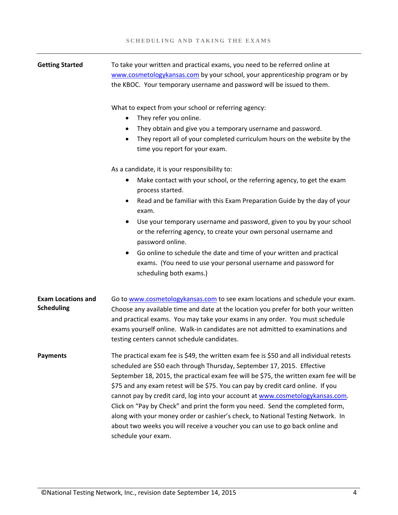**Getting Started** To take your written and practical exams, you need to be referred online at [www.cosmetologykansas.com](http://www.cosmetologykansas.com/) by your school, your apprenticeship program or by the KBOC. Your temporary username and password will be issued to them.

What to expect from your school or referring agency:

- They refer you online.
- They obtain and give you a temporary username and password.
- They report all of your completed curriculum hours on the website by the time you report for your exam.

As a candidate, it is your responsibility to:

- Make contact with your school, or the referring agency, to get the exam process started.
- Read and be familiar with this Exam Preparation Guide by the day of your exam.
- Use your temporary username and password, given to you by your school or the referring agency, to create your own personal username and password online.
- Go online to schedule the date and time of your written and practical exams. (You need to use your personal username and password for scheduling both exams.)
- **Exam Locations and Scheduling** Go t[o www.cosmetologykansas.com](http://www.cosmetologykansas.com/) to see exam locations and schedule your exam. Choose any available time and date at the location you prefer for both your written and practical exams. You may take your exams in any order. You must schedule exams yourself online. Walk-in candidates are not admitted to examinations and testing centers cannot schedule candidates.
- **Payments** The practical exam fee is \$49, the written exam fee is \$50 and all individual retests scheduled are \$50 each through Thursday, September 17, 2015. Effective September 18, 2015, the practical exam fee will be \$75, the written exam fee will be \$75 and any exam retest will be \$75. You can pay by credit card online. If you cannot pay by credit card, log into your account at [www.cosmetologykansas.com.](http://www.cosmetologykansas.com/) Click on "Pay by Check" and print the form you need. Send the completed form, along with your money order or cashier's check, to National Testing Network. In about two weeks you will receive a voucher you can use to go back online and schedule your exam.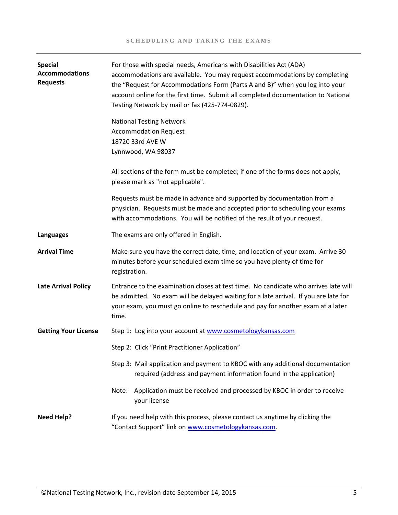| <b>Special</b><br><b>Accommodations</b><br><b>Requests</b> | For those with special needs, Americans with Disabilities Act (ADA)<br>accommodations are available. You may request accommodations by completing<br>the "Request for Accommodations Form (Parts A and B)" when you log into your<br>account online for the first time. Submit all completed documentation to National<br>Testing Network by mail or fax (425-774-0829). |  |
|------------------------------------------------------------|--------------------------------------------------------------------------------------------------------------------------------------------------------------------------------------------------------------------------------------------------------------------------------------------------------------------------------------------------------------------------|--|
|                                                            | <b>National Testing Network</b><br><b>Accommodation Request</b><br>18720 33rd AVE W<br>Lynnwood, WA 98037                                                                                                                                                                                                                                                                |  |
|                                                            | All sections of the form must be completed; if one of the forms does not apply,<br>please mark as "not applicable".                                                                                                                                                                                                                                                      |  |
|                                                            | Requests must be made in advance and supported by documentation from a<br>physician. Requests must be made and accepted prior to scheduling your exams<br>with accommodations. You will be notified of the result of your request.                                                                                                                                       |  |
| Languages                                                  | The exams are only offered in English.                                                                                                                                                                                                                                                                                                                                   |  |
| <b>Arrival Time</b>                                        | Make sure you have the correct date, time, and location of your exam. Arrive 30<br>minutes before your scheduled exam time so you have plenty of time for<br>registration.                                                                                                                                                                                               |  |
| <b>Late Arrival Policy</b>                                 | Entrance to the examination closes at test time. No candidate who arrives late will<br>be admitted. No exam will be delayed waiting for a late arrival. If you are late for<br>your exam, you must go online to reschedule and pay for another exam at a later<br>time.                                                                                                  |  |
| <b>Getting Your License</b>                                | Step 1: Log into your account at www.cosmetologykansas.com                                                                                                                                                                                                                                                                                                               |  |
|                                                            | Step 2: Click "Print Practitioner Application"                                                                                                                                                                                                                                                                                                                           |  |
|                                                            | Step 3: Mail application and payment to KBOC with any additional documentation<br>required (address and payment information found in the application)                                                                                                                                                                                                                    |  |
|                                                            | Application must be received and processed by KBOC in order to receive<br>Note:<br>your license                                                                                                                                                                                                                                                                          |  |
| <b>Need Help?</b>                                          | If you need help with this process, please contact us anytime by clicking the<br>"Contact Support" link on www.cosmetologykansas.com.                                                                                                                                                                                                                                    |  |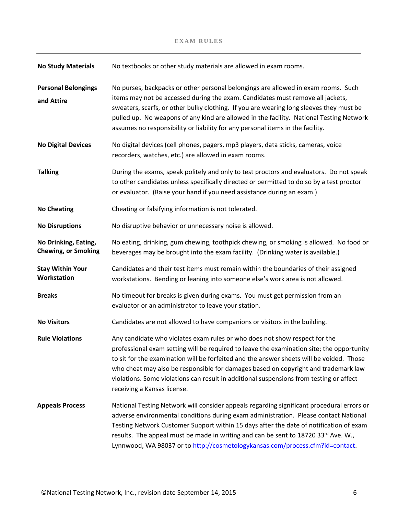#### EXAM RULES

| <b>No Study Materials</b>                          | No textbooks or other study materials are allowed in exam rooms.                                                                                                                                                                                                                                                                                                                                                                                                                    |
|----------------------------------------------------|-------------------------------------------------------------------------------------------------------------------------------------------------------------------------------------------------------------------------------------------------------------------------------------------------------------------------------------------------------------------------------------------------------------------------------------------------------------------------------------|
| <b>Personal Belongings</b><br>and Attire           | No purses, backpacks or other personal belongings are allowed in exam rooms. Such<br>items may not be accessed during the exam. Candidates must remove all jackets,<br>sweaters, scarfs, or other bulky clothing. If you are wearing long sleeves they must be<br>pulled up. No weapons of any kind are allowed in the facility. National Testing Network<br>assumes no responsibility or liability for any personal items in the facility.                                         |
| <b>No Digital Devices</b>                          | No digital devices (cell phones, pagers, mp3 players, data sticks, cameras, voice<br>recorders, watches, etc.) are allowed in exam rooms.                                                                                                                                                                                                                                                                                                                                           |
| <b>Talking</b>                                     | During the exams, speak politely and only to test proctors and evaluators. Do not speak<br>to other candidates unless specifically directed or permitted to do so by a test proctor<br>or evaluator. (Raise your hand if you need assistance during an exam.)                                                                                                                                                                                                                       |
| <b>No Cheating</b>                                 | Cheating or falsifying information is not tolerated.                                                                                                                                                                                                                                                                                                                                                                                                                                |
| <b>No Disruptions</b>                              | No disruptive behavior or unnecessary noise is allowed.                                                                                                                                                                                                                                                                                                                                                                                                                             |
| No Drinking, Eating,<br><b>Chewing, or Smoking</b> | No eating, drinking, gum chewing, toothpick chewing, or smoking is allowed. No food or<br>beverages may be brought into the exam facility. (Drinking water is available.)                                                                                                                                                                                                                                                                                                           |
| <b>Stay Within Your</b><br>Workstation             | Candidates and their test items must remain within the boundaries of their assigned<br>workstations. Bending or leaning into someone else's work area is not allowed.                                                                                                                                                                                                                                                                                                               |
| <b>Breaks</b>                                      | No timeout for breaks is given during exams. You must get permission from an<br>evaluator or an administrator to leave your station.                                                                                                                                                                                                                                                                                                                                                |
| <b>No Visitors</b>                                 | Candidates are not allowed to have companions or visitors in the building.                                                                                                                                                                                                                                                                                                                                                                                                          |
| <b>Rule Violations</b>                             | Any candidate who violates exam rules or who does not show respect for the<br>professional exam setting will be required to leave the examination site; the opportunity<br>to sit for the examination will be forfeited and the answer sheets will be voided. Those<br>who cheat may also be responsible for damages based on copyright and trademark law<br>violations. Some violations can result in additional suspensions from testing or affect<br>receiving a Kansas license. |
| <b>Appeals Process</b>                             | National Testing Network will consider appeals regarding significant procedural errors or<br>adverse environmental conditions during exam administration. Please contact National<br>Testing Network Customer Support within 15 days after the date of notification of exam<br>results. The appeal must be made in writing and can be sent to 18720 33 <sup>rd</sup> Ave. W.,                                                                                                       |

Lynnwood, WA 98037 or to <u>http://cosmetologykansas.com/process.cfm?id=contact</u>.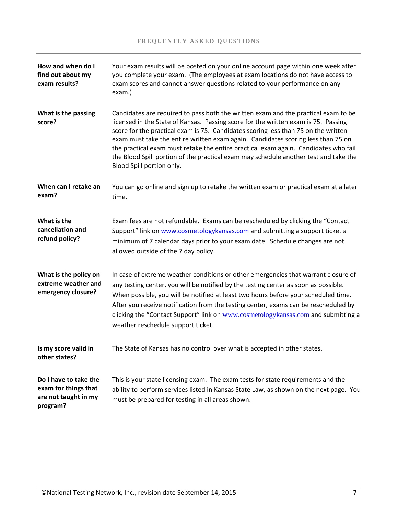| How and when do I<br>find out about my<br>exam results?                           | Your exam results will be posted on your online account page within one week after<br>you complete your exam. (The employees at exam locations do not have access to<br>exam scores and cannot answer questions related to your performance on any<br>exam.)                                                                                                                                                                                                                                                                                                   |
|-----------------------------------------------------------------------------------|----------------------------------------------------------------------------------------------------------------------------------------------------------------------------------------------------------------------------------------------------------------------------------------------------------------------------------------------------------------------------------------------------------------------------------------------------------------------------------------------------------------------------------------------------------------|
| What is the passing<br>score?                                                     | Candidates are required to pass both the written exam and the practical exam to be<br>licensed in the State of Kansas. Passing score for the written exam is 75. Passing<br>score for the practical exam is 75. Candidates scoring less than 75 on the written<br>exam must take the entire written exam again. Candidates scoring less than 75 on<br>the practical exam must retake the entire practical exam again. Candidates who fail<br>the Blood Spill portion of the practical exam may schedule another test and take the<br>Blood Spill portion only. |
| When can I retake an<br>exam?                                                     | You can go online and sign up to retake the written exam or practical exam at a later<br>time.                                                                                                                                                                                                                                                                                                                                                                                                                                                                 |
| What is the<br>cancellation and<br>refund policy?                                 | Exam fees are not refundable. Exams can be rescheduled by clicking the "Contact<br>Support" link on www.cosmetologykansas.com and submitting a support ticket a<br>minimum of 7 calendar days prior to your exam date. Schedule changes are not<br>allowed outside of the 7 day policy.                                                                                                                                                                                                                                                                        |
| What is the policy on<br>extreme weather and<br>emergency closure?                | In case of extreme weather conditions or other emergencies that warrant closure of<br>any testing center, you will be notified by the testing center as soon as possible.<br>When possible, you will be notified at least two hours before your scheduled time.<br>After you receive notification from the testing center, exams can be rescheduled by<br>clicking the "Contact Support" link on www.cosmetologykansas.com and submitting a<br>weather reschedule support ticket.                                                                              |
| Is my score valid in<br>other states?                                             | The State of Kansas has no control over what is accepted in other states.                                                                                                                                                                                                                                                                                                                                                                                                                                                                                      |
| Do I have to take the<br>exam for things that<br>are not taught in my<br>program? | This is your state licensing exam. The exam tests for state requirements and the<br>ability to perform services listed in Kansas State Law, as shown on the next page. You<br>must be prepared for testing in all areas shown.                                                                                                                                                                                                                                                                                                                                 |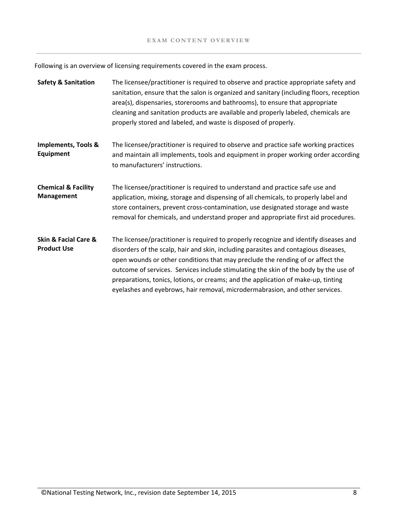Following is an overview of licensing requirements covered in the exam process.

| <b>Safety &amp; Sanitation</b>                            | The licensee/practitioner is required to observe and practice appropriate safety and<br>sanitation, ensure that the salon is organized and sanitary (including floors, reception<br>area(s), dispensaries, storerooms and bathrooms), to ensure that appropriate<br>cleaning and sanitation products are available and properly labeled, chemicals are<br>properly stored and labeled, and waste is disposed of properly.                                                                                                   |
|-----------------------------------------------------------|-----------------------------------------------------------------------------------------------------------------------------------------------------------------------------------------------------------------------------------------------------------------------------------------------------------------------------------------------------------------------------------------------------------------------------------------------------------------------------------------------------------------------------|
| Implements, Tools &<br><b>Equipment</b>                   | The licensee/practitioner is required to observe and practice safe working practices<br>and maintain all implements, tools and equipment in proper working order according<br>to manufacturers' instructions.                                                                                                                                                                                                                                                                                                               |
| <b>Chemical &amp; Facility</b><br><b>Management</b>       | The licensee/practitioner is required to understand and practice safe use and<br>application, mixing, storage and dispensing of all chemicals, to properly label and<br>store containers, prevent cross-contamination, use designated storage and waste<br>removal for chemicals, and understand proper and appropriate first aid procedures.                                                                                                                                                                               |
| <b>Skin &amp; Facial Care &amp;</b><br><b>Product Use</b> | The licensee/practitioner is required to properly recognize and identify diseases and<br>disorders of the scalp, hair and skin, including parasites and contagious diseases,<br>open wounds or other conditions that may preclude the rending of or affect the<br>outcome of services. Services include stimulating the skin of the body by the use of<br>preparations, tonics, lotions, or creams; and the application of make-up, tinting<br>eyelashes and eyebrows, hair removal, microdermabrasion, and other services. |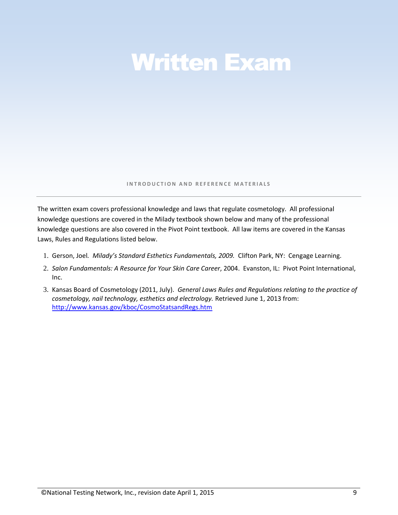### Written Exam

**INTRODUCTION AND REFERENCE MATERIALS** 

The written exam covers professional knowledge and laws that regulate cosmetology. All professional knowledge questions are covered in the Milady textbook shown below and many of the professional knowledge questions are also covered in the Pivot Point textbook. All law items are covered in the Kansas Laws, Rules and Regulations listed below.

- 1. Gerson, Joel*. Milady's Standard Esthetics Fundamentals, 2009.* Clifton Park, NY: Cengage Learning.
- 2. *Salon Fundamentals: A Resource for Your Skin Care Career*, 2004. Evanston, IL: Pivot Point International, Inc.
- 3. Kansas Board of Cosmetology (2011, July). *General Laws Rules and Regulations relating to the practice of cosmetology, nail technology, esthetics and electrology.* Retrieved June 1, 2013 from: <http://www.kansas.gov/kboc/CosmoStatsandRegs.htm>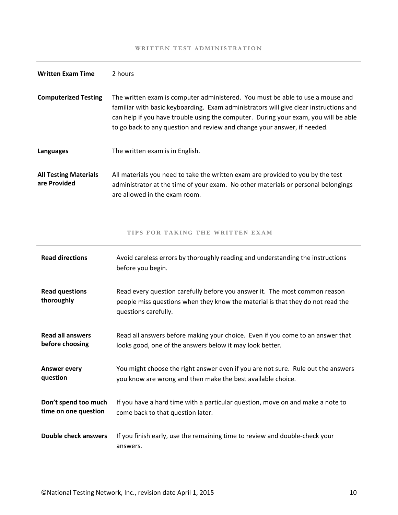| <b>Written Exam Time</b>                     | 2 hours                                                                                                                                                                                                                                                                                                                                    |
|----------------------------------------------|--------------------------------------------------------------------------------------------------------------------------------------------------------------------------------------------------------------------------------------------------------------------------------------------------------------------------------------------|
| <b>Computerized Testing</b>                  | The written exam is computer administered. You must be able to use a mouse and<br>familiar with basic keyboarding. Exam administrators will give clear instructions and<br>can help if you have trouble using the computer. During your exam, you will be able<br>to go back to any question and review and change your answer, if needed. |
| Languages                                    | The written exam is in English.                                                                                                                                                                                                                                                                                                            |
| <b>All Testing Materials</b><br>are Provided | All materials you need to take the written exam are provided to you by the test<br>administrator at the time of your exam. No other materials or personal belongings<br>are allowed in the exam room.                                                                                                                                      |

TIPS FOR TAKING THE WRITTEN EXAM

| <b>Read directions</b>              | Avoid careless errors by thoroughly reading and understanding the instructions<br>before you begin.                                                                                  |
|-------------------------------------|--------------------------------------------------------------------------------------------------------------------------------------------------------------------------------------|
| <b>Read questions</b><br>thoroughly | Read every question carefully before you answer it. The most common reason<br>people miss questions when they know the material is that they do not read the<br>questions carefully. |
| <b>Read all answers</b>             | Read all answers before making your choice. Even if you come to an answer that                                                                                                       |
| before choosing                     | looks good, one of the answers below it may look better.                                                                                                                             |
| <b>Answer every</b>                 | You might choose the right answer even if you are not sure. Rule out the answers                                                                                                     |
| question                            | you know are wrong and then make the best available choice.                                                                                                                          |
| Don't spend too much                | If you have a hard time with a particular question, move on and make a note to                                                                                                       |
| time on one question                | come back to that question later.                                                                                                                                                    |
| <b>Double check answers</b>         | If you finish early, use the remaining time to review and double-check your<br>answers.                                                                                              |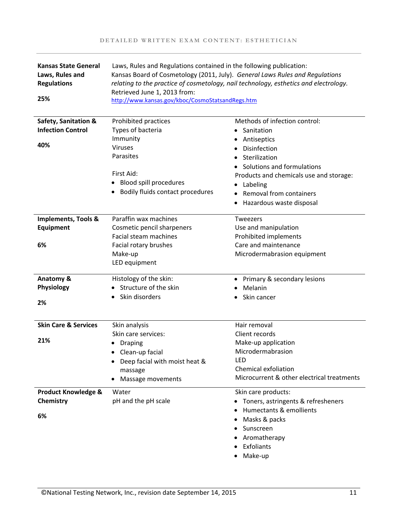| <b>Kansas State General</b><br>Laws, Rules and<br><b>Regulations</b><br>25% | Laws, Rules and Regulations contained in the following publication:<br>Kansas Board of Cosmetology (2011, July). General Laws Rules and Regulations<br>relating to the practice of cosmetology, nail technology, esthetics and electrology.<br>Retrieved June 1, 2013 from:<br>http://www.kansas.gov/kboc/CosmoStatsandRegs.htm |                                            |
|-----------------------------------------------------------------------------|---------------------------------------------------------------------------------------------------------------------------------------------------------------------------------------------------------------------------------------------------------------------------------------------------------------------------------|--------------------------------------------|
| <b>Safety, Sanitation &amp;</b>                                             | Prohibited practices                                                                                                                                                                                                                                                                                                            | Methods of infection control:              |
| <b>Infection Control</b>                                                    | Types of bacteria                                                                                                                                                                                                                                                                                                               | Sanitation<br>$\bullet$                    |
|                                                                             | Immunity                                                                                                                                                                                                                                                                                                                        | Antiseptics                                |
| 40%                                                                         | Viruses                                                                                                                                                                                                                                                                                                                         | Disinfection                               |
|                                                                             | Parasites                                                                                                                                                                                                                                                                                                                       | Sterilization<br>$\bullet$                 |
|                                                                             |                                                                                                                                                                                                                                                                                                                                 | Solutions and formulations                 |
|                                                                             | First Aid:                                                                                                                                                                                                                                                                                                                      | Products and chemicals use and storage:    |
|                                                                             | Blood spill procedures                                                                                                                                                                                                                                                                                                          | Labeling                                   |
|                                                                             | Bodily fluids contact procedures                                                                                                                                                                                                                                                                                                | Removal from containers                    |
|                                                                             |                                                                                                                                                                                                                                                                                                                                 | Hazardous waste disposal<br>٠              |
| <b>Implements, Tools &amp;</b>                                              | Paraffin wax machines                                                                                                                                                                                                                                                                                                           | <b>Tweezers</b>                            |
| Equipment                                                                   | Cosmetic pencil sharpeners                                                                                                                                                                                                                                                                                                      | Use and manipulation                       |
|                                                                             | Facial steam machines                                                                                                                                                                                                                                                                                                           | Prohibited implements                      |
| 6%                                                                          | Facial rotary brushes                                                                                                                                                                                                                                                                                                           | Care and maintenance                       |
|                                                                             | Make-up                                                                                                                                                                                                                                                                                                                         | Microdermabrasion equipment                |
|                                                                             | LED equipment                                                                                                                                                                                                                                                                                                                   |                                            |
| Anatomy &                                                                   | Histology of the skin:                                                                                                                                                                                                                                                                                                          | Primary & secondary lesions                |
| Physiology                                                                  | Structure of the skin                                                                                                                                                                                                                                                                                                           | Melanin                                    |
|                                                                             | Skin disorders                                                                                                                                                                                                                                                                                                                  | Skin cancer                                |
| 2%                                                                          |                                                                                                                                                                                                                                                                                                                                 |                                            |
| <b>Skin Care &amp; Services</b>                                             | Skin analysis                                                                                                                                                                                                                                                                                                                   | Hair removal                               |
|                                                                             | Skin care services:                                                                                                                                                                                                                                                                                                             | Client records                             |
| 21%                                                                         | <b>Draping</b>                                                                                                                                                                                                                                                                                                                  | Make-up application                        |
|                                                                             | • Clean-up facial                                                                                                                                                                                                                                                                                                               | Microdermabrasion                          |
|                                                                             | Deep facial with moist heat &                                                                                                                                                                                                                                                                                                   | LED                                        |
|                                                                             | massage                                                                                                                                                                                                                                                                                                                         | Chemical exfoliation                       |
|                                                                             | Massage movements                                                                                                                                                                                                                                                                                                               | Microcurrent & other electrical treatments |
| <b>Product Knowledge &amp;</b>                                              | Water                                                                                                                                                                                                                                                                                                                           | Skin care products:                        |
| Chemistry                                                                   | pH and the pH scale                                                                                                                                                                                                                                                                                                             | Toners, astringents & refresheners         |
|                                                                             |                                                                                                                                                                                                                                                                                                                                 | Humectants & emollients<br>$\bullet$       |
| 6%                                                                          |                                                                                                                                                                                                                                                                                                                                 | Masks & packs                              |
|                                                                             |                                                                                                                                                                                                                                                                                                                                 | Sunscreen                                  |
|                                                                             |                                                                                                                                                                                                                                                                                                                                 | Aromatherapy                               |
|                                                                             |                                                                                                                                                                                                                                                                                                                                 | Exfoliants                                 |
|                                                                             |                                                                                                                                                                                                                                                                                                                                 | Make-up                                    |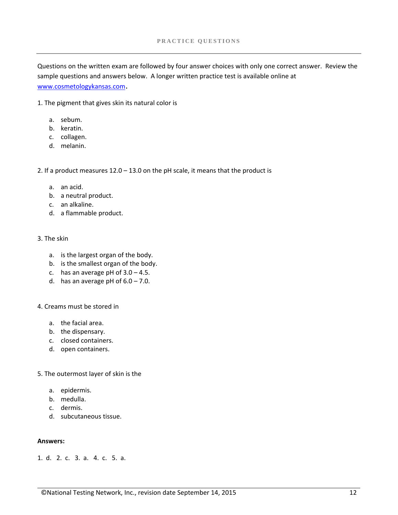Questions on the written exam are followed by four answer choices with only one correct answer. Review the sample questions and answers below. A longer written practice test is available online at [www.cosmetologykansas.com](http://www.cosmetologykansas.com/).

1. The pigment that gives skin its natural color is

- a. sebum.
- b. keratin.
- c. collagen.
- d. melanin.

2. If a product measures  $12.0 - 13.0$  on the pH scale, it means that the product is

- a. an acid.
- b. a neutral product.
- c. an alkaline.
- d. a flammable product.

### 3. The skin

- a. is the largest organ of the body.
- b. is the smallest organ of the body.
- c. has an average pH of  $3.0 4.5$ .
- d. has an average pH of  $6.0 7.0$ .
- 4. Creams must be stored in
	- a. the facial area.
	- b. the dispensary.
	- c. closed containers.
	- d. open containers.

5. The outermost layer of skin is the

- a. epidermis.
- b. medulla.
- c. dermis.
- d. subcutaneous tissue.

### **Answers:**

### 1. d. 2. c. 3. a. 4. c. 5. a.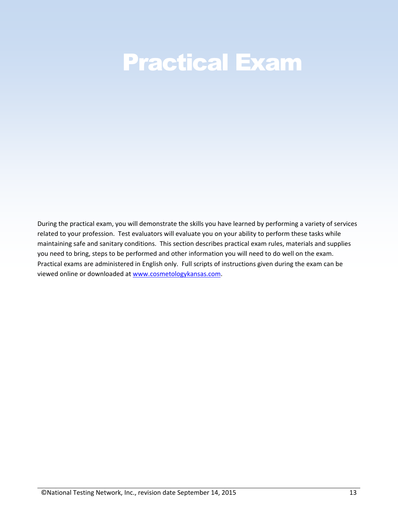## Practical Exam

During the practical exam, you will demonstrate the skills you have learned by performing a variety of services related to your profession. Test evaluators will evaluate you on your ability to perform these tasks while maintaining safe and sanitary conditions. This section describes practical exam rules, materials and supplies you need to bring, steps to be performed and other information you will need to do well on the exam. Practical exams are administered in English only. Full scripts of instructions given during the exam can be viewed online or downloaded at [www.cosmetologykansas.com.](http://www.cosmetologykansas.com/)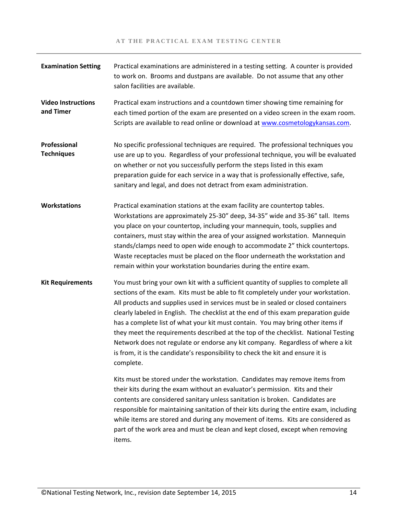| <b>Examination Setting</b>             | Practical examinations are administered in a testing setting. A counter is provided<br>to work on. Brooms and dustpans are available. Do not assume that any other<br>salon facilities are available.                                                                                                                                                                                                                                                                                                                                                                                                                                                                                                           |
|----------------------------------------|-----------------------------------------------------------------------------------------------------------------------------------------------------------------------------------------------------------------------------------------------------------------------------------------------------------------------------------------------------------------------------------------------------------------------------------------------------------------------------------------------------------------------------------------------------------------------------------------------------------------------------------------------------------------------------------------------------------------|
| <b>Video Instructions</b><br>and Timer | Practical exam instructions and a countdown timer showing time remaining for<br>each timed portion of the exam are presented on a video screen in the exam room.<br>Scripts are available to read online or download at www.cosmetologykansas.com.                                                                                                                                                                                                                                                                                                                                                                                                                                                              |
| Professional<br><b>Techniques</b>      | No specific professional techniques are required. The professional techniques you<br>use are up to you. Regardless of your professional technique, you will be evaluated<br>on whether or not you successfully perform the steps listed in this exam<br>preparation guide for each service in a way that is professionally effective, safe,<br>sanitary and legal, and does not detract from exam administration.                                                                                                                                                                                                                                                                                               |
| Workstations                           | Practical examination stations at the exam facility are countertop tables.<br>Workstations are approximately 25-30" deep, 34-35" wide and 35-36" tall. Items<br>you place on your countertop, including your mannequin, tools, supplies and<br>containers, must stay within the area of your assigned workstation. Mannequin<br>stands/clamps need to open wide enough to accommodate 2" thick countertops.<br>Waste receptacles must be placed on the floor underneath the workstation and<br>remain within your workstation boundaries during the entire exam.                                                                                                                                                |
| <b>Kit Requirements</b>                | You must bring your own kit with a sufficient quantity of supplies to complete all<br>sections of the exam. Kits must be able to fit completely under your workstation.<br>All products and supplies used in services must be in sealed or closed containers<br>clearly labeled in English. The checklist at the end of this exam preparation guide<br>has a complete list of what your kit must contain. You may bring other items if<br>they meet the requirements described at the top of the checklist. National Testing<br>Network does not regulate or endorse any kit company. Regardless of where a kit<br>is from, it is the candidate's responsibility to check the kit and ensure it is<br>complete. |
|                                        | Kits must be stored under the workstation. Candidates may remove items from<br>their kits during the exam without an evaluator's permission. Kits and their<br>contents are considered sanitary unless sanitation is broken. Candidates are<br>responsible for maintaining sanitation of their kits during the entire exam, including<br>while items are stored and during any movement of items. Kits are considered as<br>part of the work area and must be clean and kept closed, except when removing<br>items.                                                                                                                                                                                             |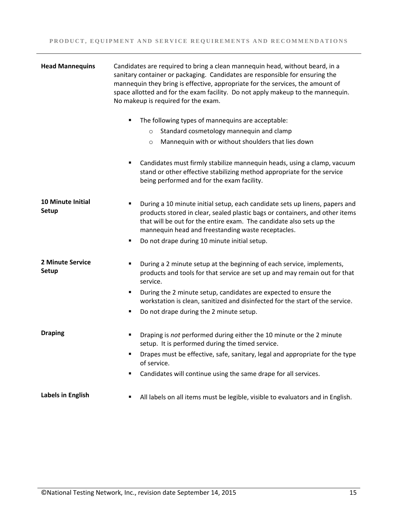| <b>Head Mannequins</b>            | Candidates are required to bring a clean mannequin head, without beard, in a<br>sanitary container or packaging. Candidates are responsible for ensuring the<br>mannequin they bring is effective, appropriate for the services, the amount of<br>space allotted and for the exam facility. Do not apply makeup to the mannequin.<br>No makeup is required for the exam. |
|-----------------------------------|--------------------------------------------------------------------------------------------------------------------------------------------------------------------------------------------------------------------------------------------------------------------------------------------------------------------------------------------------------------------------|
|                                   | The following types of mannequins are acceptable:<br>Standard cosmetology mannequin and clamp<br>$\circ$                                                                                                                                                                                                                                                                 |
|                                   | Mannequin with or without shoulders that lies down<br>$\circ$                                                                                                                                                                                                                                                                                                            |
|                                   | Candidates must firmly stabilize mannequin heads, using a clamp, vacuum<br>stand or other effective stabilizing method appropriate for the service<br>being performed and for the exam facility.                                                                                                                                                                         |
| <b>10 Minute Initial</b><br>Setup | During a 10 minute initial setup, each candidate sets up linens, papers and<br>products stored in clear, sealed plastic bags or containers, and other items<br>that will be out for the entire exam. The candidate also sets up the<br>mannequin head and freestanding waste receptacles.                                                                                |
|                                   | Do not drape during 10 minute initial setup.<br>٠                                                                                                                                                                                                                                                                                                                        |
| 2 Minute Service<br>Setup         | During a 2 minute setup at the beginning of each service, implements,<br>п<br>products and tools for that service are set up and may remain out for that<br>service.                                                                                                                                                                                                     |
|                                   | During the 2 minute setup, candidates are expected to ensure the<br>٠<br>workstation is clean, sanitized and disinfected for the start of the service.                                                                                                                                                                                                                   |
|                                   | Do not drape during the 2 minute setup.<br>٠                                                                                                                                                                                                                                                                                                                             |
| <b>Draping</b>                    | Draping is not performed during either the 10 minute or the 2 minute<br>٠<br>setup. It is performed during the timed service.                                                                                                                                                                                                                                            |
|                                   | Drapes must be effective, safe, sanitary, legal and appropriate for the type<br>of service.                                                                                                                                                                                                                                                                              |
|                                   | Candidates will continue using the same drape for all services.                                                                                                                                                                                                                                                                                                          |
| Labels in English                 | All labels on all items must be legible, visible to evaluators and in English.                                                                                                                                                                                                                                                                                           |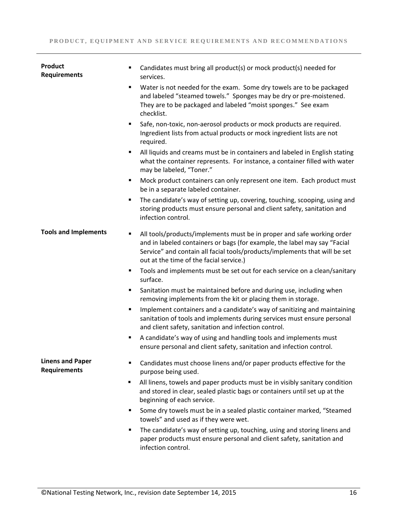| Product<br><b>Requirements</b>                 | Candidates must bring all product(s) or mock product(s) needed for<br>services.                                                                                                                                                                                                   |
|------------------------------------------------|-----------------------------------------------------------------------------------------------------------------------------------------------------------------------------------------------------------------------------------------------------------------------------------|
|                                                | Water is not needed for the exam. Some dry towels are to be packaged<br>and labeled "steamed towels." Sponges may be dry or pre-moistened.<br>They are to be packaged and labeled "moist sponges." See exam<br>checklist.                                                         |
|                                                | Safe, non-toxic, non-aerosol products or mock products are required.<br>٠<br>Ingredient lists from actual products or mock ingredient lists are not<br>required.                                                                                                                  |
|                                                | All liquids and creams must be in containers and labeled in English stating<br>٠<br>what the container represents. For instance, a container filled with water<br>may be labeled, "Toner."                                                                                        |
|                                                | Mock product containers can only represent one item. Each product must<br>٠<br>be in a separate labeled container.                                                                                                                                                                |
|                                                | The candidate's way of setting up, covering, touching, scooping, using and<br>٠<br>storing products must ensure personal and client safety, sanitation and<br>infection control.                                                                                                  |
| <b>Tools and Implements</b>                    | All tools/products/implements must be in proper and safe working order<br>٠<br>and in labeled containers or bags (for example, the label may say "Facial<br>Service" and contain all facial tools/products/implements that will be set<br>out at the time of the facial service.) |
|                                                | Tools and implements must be set out for each service on a clean/sanitary<br>п<br>surface.                                                                                                                                                                                        |
|                                                | Sanitation must be maintained before and during use, including when<br>п<br>removing implements from the kit or placing them in storage.                                                                                                                                          |
|                                                | Implement containers and a candidate's way of sanitizing and maintaining<br>п<br>sanitation of tools and implements during services must ensure personal<br>and client safety, sanitation and infection control.                                                                  |
|                                                | A candidate's way of using and handling tools and implements must<br>٠<br>ensure personal and client safety, sanitation and infection control.                                                                                                                                    |
| <b>Linens and Paper</b><br><b>Requirements</b> | Candidates must choose linens and/or paper products effective for the<br>purpose being used.                                                                                                                                                                                      |
|                                                | All linens, towels and paper products must be in visibly sanitary condition<br>٠<br>and stored in clear, sealed plastic bags or containers until set up at the<br>beginning of each service.                                                                                      |
|                                                | Some dry towels must be in a sealed plastic container marked, "Steamed<br>٠<br>towels" and used as if they were wet.                                                                                                                                                              |
|                                                | The candidate's way of setting up, touching, using and storing linens and<br>٠<br>paper products must ensure personal and client safety, sanitation and<br>infection control.                                                                                                     |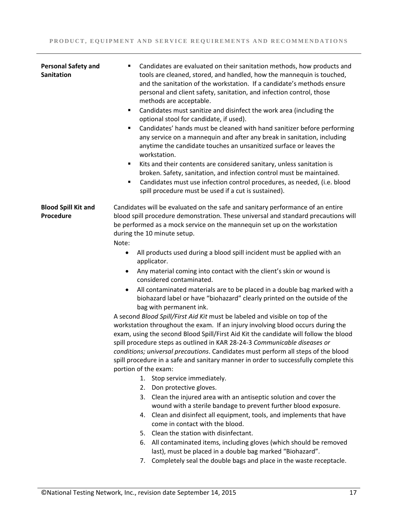| <b>Personal Safety and</b><br><b>Sanitation</b> | Candidates are evaluated on their sanitation methods, how products and<br>п<br>tools are cleaned, stored, and handled, how the mannequin is touched,<br>and the sanitation of the workstation. If a candidate's methods ensure<br>personal and client safety, sanitation, and infection control, those<br>methods are acceptable.<br>Candidates must sanitize and disinfect the work area (including the<br>٠<br>optional stool for candidate, if used).<br>Candidates' hands must be cleaned with hand sanitizer before performing<br>$\blacksquare$<br>any service on a mannequin and after any break in sanitation, including<br>anytime the candidate touches an unsanitized surface or leaves the<br>workstation.<br>Kits and their contents are considered sanitary, unless sanitation is<br>٠<br>broken. Safety, sanitation, and infection control must be maintained.<br>Candidates must use infection control procedures, as needed, (i.e. blood<br>٠<br>spill procedure must be used if a cut is sustained).                                                                                                                                                                                                                                                                                                                                                                                                                                                                                                                                      |
|-------------------------------------------------|-------------------------------------------------------------------------------------------------------------------------------------------------------------------------------------------------------------------------------------------------------------------------------------------------------------------------------------------------------------------------------------------------------------------------------------------------------------------------------------------------------------------------------------------------------------------------------------------------------------------------------------------------------------------------------------------------------------------------------------------------------------------------------------------------------------------------------------------------------------------------------------------------------------------------------------------------------------------------------------------------------------------------------------------------------------------------------------------------------------------------------------------------------------------------------------------------------------------------------------------------------------------------------------------------------------------------------------------------------------------------------------------------------------------------------------------------------------------------------------------------------------------------------------------------------------|
| <b>Blood Spill Kit and</b><br>Procedure         | Candidates will be evaluated on the safe and sanitary performance of an entire<br>blood spill procedure demonstration. These universal and standard precautions will<br>be performed as a mock service on the mannequin set up on the workstation<br>during the 10 minute setup.<br>Note:<br>All products used during a blood spill incident must be applied with an<br>$\bullet$<br>applicator.<br>Any material coming into contact with the client's skin or wound is<br>$\bullet$<br>considered contaminated.<br>All contaminated materials are to be placed in a double bag marked with a<br>$\bullet$<br>biohazard label or have "biohazard" clearly printed on the outside of the<br>bag with permanent ink.<br>A second Blood Spill/First Aid Kit must be labeled and visible on top of the<br>workstation throughout the exam. If an injury involving blood occurs during the<br>exam, using the second Blood Spill/First Aid Kit the candidate will follow the blood<br>spill procedure steps as outlined in KAR 28-24-3 Communicable diseases or<br>conditions; universal precautions. Candidates must perform all steps of the blood<br>spill procedure in a safe and sanitary manner in order to successfully complete this<br>portion of the exam:<br>Stop service immediately.<br>1.<br>Don protective gloves.<br>2.<br>Clean the injured area with an antiseptic solution and cover the<br>3.<br>wound with a sterile bandage to prevent further blood exposure.<br>Clean and disinfect all equipment, tools, and implements that have<br>4. |
|                                                 | come in contact with the blood.<br>Clean the station with disinfectant.<br>5.<br>All contaminated items, including gloves (which should be removed<br>6.<br>last), must be placed in a double bag marked "Biohazard".<br>Completely seal the double bags and place in the waste receptacle.<br>7.                                                                                                                                                                                                                                                                                                                                                                                                                                                                                                                                                                                                                                                                                                                                                                                                                                                                                                                                                                                                                                                                                                                                                                                                                                                           |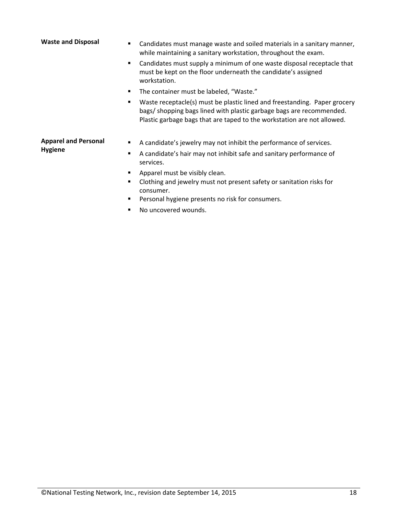| <b>Waste and Disposal</b>                     | Candidates must manage waste and soiled materials in a sanitary manner,<br>٠<br>while maintaining a sanitary workstation, throughout the exam.                                                                                    |  |  |  |  |
|-----------------------------------------------|-----------------------------------------------------------------------------------------------------------------------------------------------------------------------------------------------------------------------------------|--|--|--|--|
|                                               | Candidates must supply a minimum of one waste disposal receptacle that<br>٠<br>must be kept on the floor underneath the candidate's assigned<br>workstation.                                                                      |  |  |  |  |
|                                               | The container must be labeled, "Waste."<br>٠                                                                                                                                                                                      |  |  |  |  |
|                                               | Waste receptacle(s) must be plastic lined and freestanding. Paper grocery<br>٠<br>bags/ shopping bags lined with plastic garbage bags are recommended.<br>Plastic garbage bags that are taped to the workstation are not allowed. |  |  |  |  |
| <b>Apparel and Personal</b><br><b>Hygiene</b> | A candidate's jewelry may not inhibit the performance of services.<br>٠<br>A candidate's hair may not inhibit safe and sanitary performance of<br>٠<br>services.                                                                  |  |  |  |  |
|                                               | Apparel must be visibly clean.<br>٠                                                                                                                                                                                               |  |  |  |  |
|                                               | Clothing and jewelry must not present safety or sanitation risks for<br>٠<br>consumer.                                                                                                                                            |  |  |  |  |
|                                               | Personal hygiene presents no risk for consumers.<br>٠                                                                                                                                                                             |  |  |  |  |
|                                               | No uncovered wounds.                                                                                                                                                                                                              |  |  |  |  |

©National Testing Network, Inc., revision date September 14, 2015 18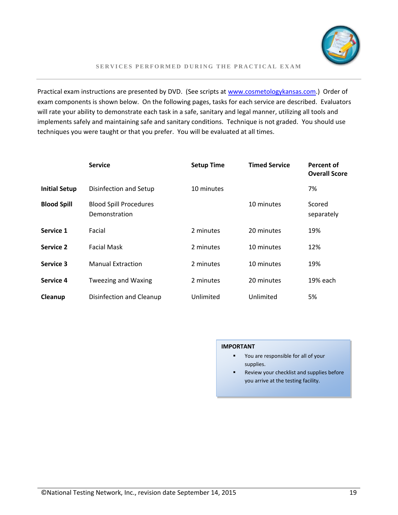

Practical exam instructions are presented by DVD. (See scripts at [www.cosmetologykansas.com.](http://www.cosmetologykansas.com/)) Order of exam components is shown below. On the following pages, tasks for each service are described. Evaluators will rate your ability to demonstrate each task in a safe, sanitary and legal manner, utilizing all tools and implements safely and maintaining safe and sanitary conditions. Technique is not graded. You should use techniques you were taught or that you prefer. You will be evaluated at all times.

|                      | <b>Service</b>                                 | <b>Setup Time</b> | <b>Timed Service</b> | Percent of<br><b>Overall Score</b> |
|----------------------|------------------------------------------------|-------------------|----------------------|------------------------------------|
| <b>Initial Setup</b> | Disinfection and Setup                         | 10 minutes        |                      | 7%                                 |
| <b>Blood Spill</b>   | <b>Blood Spill Procedures</b><br>Demonstration |                   | 10 minutes           | Scored<br>separately               |
| Service 1            | Facial                                         | 2 minutes         | 20 minutes           | 19%                                |
| Service 2            | <b>Facial Mask</b>                             | 2 minutes         | 10 minutes           | 12%                                |
| Service 3            | <b>Manual Extraction</b>                       | 2 minutes         | 10 minutes           | 19%                                |
| Service 4            | <b>Tweezing and Waxing</b>                     | 2 minutes         | 20 minutes           | 19% each                           |
| Cleanup              | Disinfection and Cleanup                       | Unlimited         | Unlimited            | 5%                                 |

#### **IMPORTANT**

- **•** You are responsible for all of your supplies.
- Review your checklist and supplies before you arrive at the testing facility.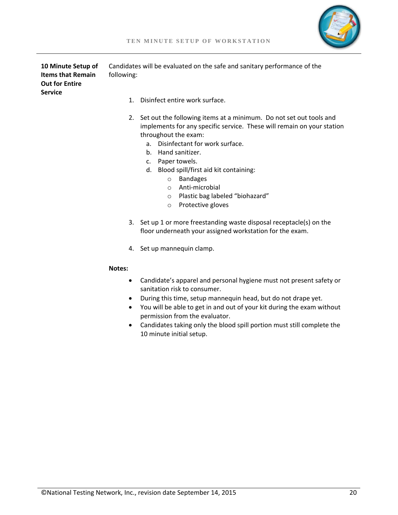

| 10 Minute Setup of       |  |  |  |
|--------------------------|--|--|--|
| <b>Items that Remain</b> |  |  |  |
| <b>Out for Entire</b>    |  |  |  |
| <b>Service</b>           |  |  |  |

Candidates will be evaluated on the safe and sanitary performance of the following:

- 1. Disinfect entire work surface.
- 2. Set out the following items at a minimum. Do not set out tools and implements for any specific service. These will remain on your station throughout the exam:
	- a. Disinfectant for work surface.
	- b. Hand sanitizer.
	- c. Paper towels.
	- d. Blood spill/first aid kit containing:
		- o Bandages
		- o Anti-microbial
		- o Plastic bag labeled "biohazard"
		- o Protective gloves
- 3. Set up 1 or more freestanding waste disposal receptacle(s) on the floor underneath your assigned workstation for the exam.
- 4. Set up mannequin clamp.

### **Notes:**

- Candidate's apparel and personal hygiene must not present safety or sanitation risk to consumer.
- During this time, setup mannequin head, but do not drape yet.
- You will be able to get in and out of your kit during the exam without permission from the evaluator.
- Candidates taking only the blood spill portion must still complete the 10 minute initial setup.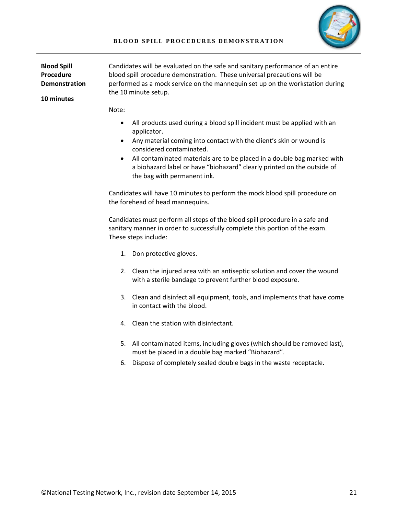

**Blood Spill Procedure Demonstration**

**10 minutes**

Candidates will be evaluated on the safe and sanitary performance of an entire blood spill procedure demonstration. These universal precautions will be performed as a mock service on the mannequin set up on the workstation during the 10 minute setup.

Note:

- All products used during a blood spill incident must be applied with an applicator.
- Any material coming into contact with the client's skin or wound is considered contaminated.
- All contaminated materials are to be placed in a double bag marked with a biohazard label or have "biohazard" clearly printed on the outside of the bag with permanent ink.

Candidates will have 10 minutes to perform the mock blood spill procedure on the forehead of head mannequins.

Candidates must perform all steps of the blood spill procedure in a safe and sanitary manner in order to successfully complete this portion of the exam. These steps include:

- 1. Don protective gloves.
- 2. Clean the injured area with an antiseptic solution and cover the wound with a sterile bandage to prevent further blood exposure.
- 3. Clean and disinfect all equipment, tools, and implements that have come in contact with the blood.
- 4. Clean the station with disinfectant.
- 5. All contaminated items, including gloves (which should be removed last), must be placed in a double bag marked "Biohazard".
- 6. Dispose of completely sealed double bags in the waste receptacle.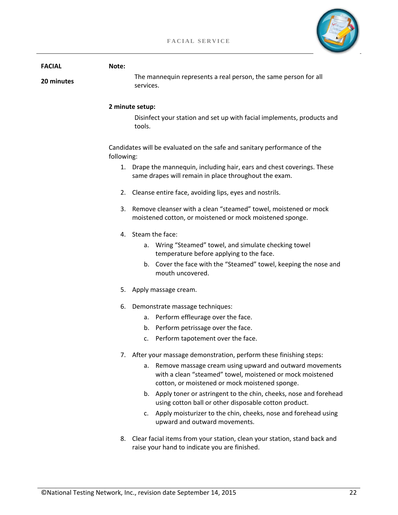

| <b>FACIAL</b> | Note:      |                                                                                                                                                                                                                                                                                                                                                                                                                                                                                                 |  |  |  |
|---------------|------------|-------------------------------------------------------------------------------------------------------------------------------------------------------------------------------------------------------------------------------------------------------------------------------------------------------------------------------------------------------------------------------------------------------------------------------------------------------------------------------------------------|--|--|--|
| 20 minutes    |            | The mannequin represents a real person, the same person for all<br>services.                                                                                                                                                                                                                                                                                                                                                                                                                    |  |  |  |
|               |            | 2 minute setup:<br>Disinfect your station and set up with facial implements, products and<br>tools.                                                                                                                                                                                                                                                                                                                                                                                             |  |  |  |
|               | following: | Candidates will be evaluated on the safe and sanitary performance of the                                                                                                                                                                                                                                                                                                                                                                                                                        |  |  |  |
|               |            | 1. Drape the mannequin, including hair, ears and chest coverings. These<br>same drapes will remain in place throughout the exam.                                                                                                                                                                                                                                                                                                                                                                |  |  |  |
|               | 2.         | Cleanse entire face, avoiding lips, eyes and nostrils.                                                                                                                                                                                                                                                                                                                                                                                                                                          |  |  |  |
|               | 3.         | Remove cleanser with a clean "steamed" towel, moistened or mock<br>moistened cotton, or moistened or mock moistened sponge.                                                                                                                                                                                                                                                                                                                                                                     |  |  |  |
|               | 4.         | Steam the face:<br>Wring "Steamed" towel, and simulate checking towel<br>a.<br>temperature before applying to the face.<br>Cover the face with the "Steamed" towel, keeping the nose and<br>b.<br>mouth uncovered.                                                                                                                                                                                                                                                                              |  |  |  |
|               | 5.         | Apply massage cream.                                                                                                                                                                                                                                                                                                                                                                                                                                                                            |  |  |  |
|               | 6.         | Demonstrate massage techniques:<br>Perform effleurage over the face.<br>а.<br>Perform petrissage over the face.<br>b.<br>Perform tapotement over the face.<br>c.                                                                                                                                                                                                                                                                                                                                |  |  |  |
|               |            | 7. After your massage demonstration, perform these finishing steps:<br>Remove massage cream using upward and outward movements<br>а.<br>with a clean "steamed" towel, moistened or mock moistened<br>cotton, or moistened or mock moistened sponge.<br>Apply toner or astringent to the chin, cheeks, nose and forehead<br>b.<br>using cotton ball or other disposable cotton product.<br>Apply moisturizer to the chin, cheeks, nose and forehead using<br>c.<br>upward and outward movements. |  |  |  |
|               | 8.         | Clear facial items from your station, clean your station, stand back and<br>raise your hand to indicate you are finished.                                                                                                                                                                                                                                                                                                                                                                       |  |  |  |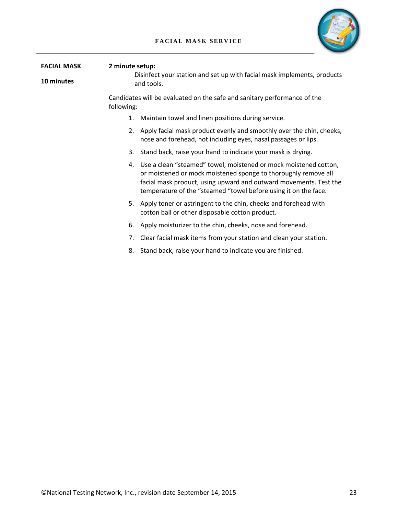### **FACIAL MASK SERVICE**



| <b>FACIAL MASK</b><br>10 minutes |                                                                                        | 2 minute setup:<br>Disinfect your station and set up with facial mask implements, products                                                                                                                                                                                 |  |  |  |
|----------------------------------|----------------------------------------------------------------------------------------|----------------------------------------------------------------------------------------------------------------------------------------------------------------------------------------------------------------------------------------------------------------------------|--|--|--|
|                                  | and tools.                                                                             |                                                                                                                                                                                                                                                                            |  |  |  |
|                                  | Candidates will be evaluated on the safe and sanitary performance of the<br>following: |                                                                                                                                                                                                                                                                            |  |  |  |
|                                  | 1.                                                                                     | Maintain towel and linen positions during service.                                                                                                                                                                                                                         |  |  |  |
|                                  | 2.                                                                                     | Apply facial mask product evenly and smoothly over the chin, cheeks,<br>nose and forehead, not including eyes, nasal passages or lips.                                                                                                                                     |  |  |  |
|                                  | 3.                                                                                     | Stand back, raise your hand to indicate your mask is drying.                                                                                                                                                                                                               |  |  |  |
|                                  | 4.                                                                                     | Use a clean "steamed" towel, moistened or mock moistened cotton,<br>or moistened or mock moistened sponge to thoroughly remove all<br>facial mask product, using upward and outward movements. Test the<br>temperature of the "steamed "towel before using it on the face. |  |  |  |
|                                  | 5.                                                                                     | Apply toner or astringent to the chin, cheeks and forehead with<br>cotton ball or other disposable cotton product.                                                                                                                                                         |  |  |  |
|                                  | 6.                                                                                     | Apply moisturizer to the chin, cheeks, nose and forehead.                                                                                                                                                                                                                  |  |  |  |
|                                  | 7.                                                                                     | Clear facial mask items from your station and clean your station.                                                                                                                                                                                                          |  |  |  |
|                                  | 8.                                                                                     | Stand back, raise your hand to indicate you are finished.                                                                                                                                                                                                                  |  |  |  |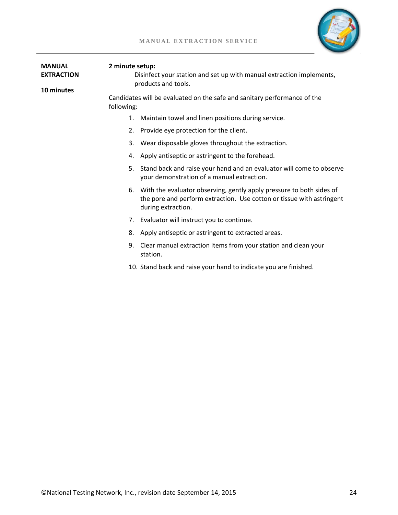

| <b>MANUAL</b><br><b>EXTRACTION</b><br>10 minutes | 2 minute setup:<br>Disinfect your station and set up with manual extraction implements,<br>products and tools. |                                                                                                                                                                     |  |  |
|--------------------------------------------------|----------------------------------------------------------------------------------------------------------------|---------------------------------------------------------------------------------------------------------------------------------------------------------------------|--|--|
|                                                  | following:                                                                                                     | Candidates will be evaluated on the safe and sanitary performance of the                                                                                            |  |  |
|                                                  | 1.                                                                                                             | Maintain towel and linen positions during service.                                                                                                                  |  |  |
|                                                  | 2.                                                                                                             | Provide eye protection for the client.                                                                                                                              |  |  |
|                                                  | 3.                                                                                                             | Wear disposable gloves throughout the extraction.                                                                                                                   |  |  |
|                                                  | 4.                                                                                                             | Apply antiseptic or astringent to the forehead.                                                                                                                     |  |  |
|                                                  | 5.                                                                                                             | Stand back and raise your hand and an evaluator will come to observe<br>your demonstration of a manual extraction.                                                  |  |  |
|                                                  | 6.                                                                                                             | With the evaluator observing, gently apply pressure to both sides of<br>the pore and perform extraction. Use cotton or tissue with astringent<br>during extraction. |  |  |
|                                                  | 7.                                                                                                             | Evaluator will instruct you to continue.                                                                                                                            |  |  |
|                                                  | 8.                                                                                                             | Apply antiseptic or astringent to extracted areas.                                                                                                                  |  |  |
|                                                  | 9.                                                                                                             | Clear manual extraction items from your station and clean your<br>station.                                                                                          |  |  |
|                                                  |                                                                                                                | 10. Stand back and raise your hand to indicate you are finished.                                                                                                    |  |  |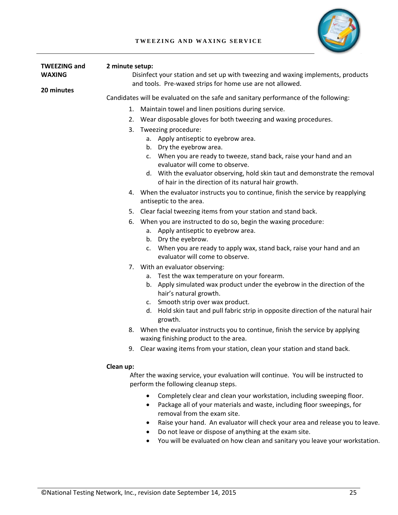#### **T W E E Z I N G A N D W A X I N G S E R V I C E**



| <b>TWEEZING and</b><br><b>WAXING</b> | 2 minute setup:<br>Disinfect your station and set up with tweezing and waxing implements, products<br>and tools. Pre-waxed strips for home use are not allowed.                                                                                                                                                                        |  |  |  |  |
|--------------------------------------|----------------------------------------------------------------------------------------------------------------------------------------------------------------------------------------------------------------------------------------------------------------------------------------------------------------------------------------|--|--|--|--|
| 20 minutes                           | Candidates will be evaluated on the safe and sanitary performance of the following:                                                                                                                                                                                                                                                    |  |  |  |  |
|                                      | 1. Maintain towel and linen positions during service.                                                                                                                                                                                                                                                                                  |  |  |  |  |
|                                      | 2. Wear disposable gloves for both tweezing and waxing procedures.                                                                                                                                                                                                                                                                     |  |  |  |  |
|                                      | Tweezing procedure:<br>3.<br>a. Apply antiseptic to eyebrow area.<br>b. Dry the eyebrow area.<br>When you are ready to tweeze, stand back, raise your hand and an<br>c.                                                                                                                                                                |  |  |  |  |
|                                      | evaluator will come to observe.<br>d. With the evaluator observing, hold skin taut and demonstrate the removal<br>of hair in the direction of its natural hair growth.                                                                                                                                                                 |  |  |  |  |
|                                      | 4. When the evaluator instructs you to continue, finish the service by reapplying<br>antiseptic to the area.                                                                                                                                                                                                                           |  |  |  |  |
|                                      | Clear facial tweezing items from your station and stand back.<br>5.                                                                                                                                                                                                                                                                    |  |  |  |  |
|                                      | When you are instructed to do so, begin the waxing procedure:<br>6.<br>a. Apply antiseptic to eyebrow area.<br>b. Dry the eyebrow.<br>c. When you are ready to apply wax, stand back, raise your hand and an<br>evaluator will come to observe.                                                                                        |  |  |  |  |
|                                      | 7. With an evaluator observing:<br>Test the wax temperature on your forearm.<br>а.<br>b. Apply simulated wax product under the eyebrow in the direction of the<br>hair's natural growth.<br>Smooth strip over wax product.<br>c.<br>d. Hold skin taut and pull fabric strip in opposite direction of the natural hair<br>growth.       |  |  |  |  |
|                                      | 8. When the evaluator instructs you to continue, finish the service by applying<br>waxing finishing product to the area.                                                                                                                                                                                                               |  |  |  |  |
|                                      | 9. Clear waxing items from your station, clean your station and stand back.                                                                                                                                                                                                                                                            |  |  |  |  |
|                                      | Clean up:<br>After the waxing service, your evaluation will continue. You will be instructed to<br>perform the following cleanup steps.                                                                                                                                                                                                |  |  |  |  |
|                                      | Completely clear and clean your workstation, including sweeping floor.<br>$\bullet$<br>Package all of your materials and waste, including floor sweepings, for<br>removal from the exam site.<br>Raise your hand. An evaluator will check your area and release you to leave.<br>Do not leave or dispose of anything at the exam site. |  |  |  |  |

You will be evaluated on how clean and sanitary you leave your workstation.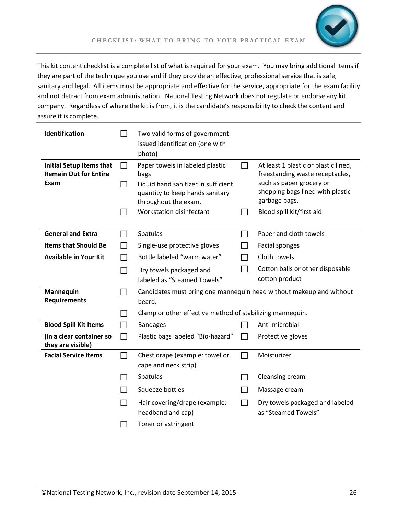

This kit content checklist is a complete list of what is required for your exam. You may bring additional items if they are part of the technique you use and if they provide an effective, professional service that is safe, sanitary and legal. All items must be appropriate and effective for the service, appropriate for the exam facility and not detract from exam administration. National Testing Network does not regulate or endorse any kit company. Regardless of where the kit is from, it is the candidate's responsibility to check the content and assure it is complete.

| Identification                                                  | H             | Two valid forms of government<br>issued identification (one with<br>photo)                     |        |                                                                               |
|-----------------------------------------------------------------|---------------|------------------------------------------------------------------------------------------------|--------|-------------------------------------------------------------------------------|
| <b>Initial Setup Items that</b><br><b>Remain Out for Entire</b> | ΙI            | Paper towels in labeled plastic<br>bags                                                        | П      | At least 1 plastic or plastic lined,<br>freestanding waste receptacles,       |
| Exam                                                            | $\Box$        | Liquid hand sanitizer in sufficient<br>quantity to keep hands sanitary<br>throughout the exam. |        | such as paper grocery or<br>shopping bags lined with plastic<br>garbage bags. |
|                                                                 |               | Workstation disinfectant                                                                       |        | Blood spill kit/first aid                                                     |
| <b>General and Extra</b>                                        | H             | Spatulas                                                                                       | П      | Paper and cloth towels                                                        |
| <b>Items that Should Be</b>                                     |               | Single-use protective gloves                                                                   |        | Facial sponges                                                                |
| <b>Available in Your Kit</b>                                    | П             | Bottle labeled "warm water"                                                                    | $\Box$ | Cloth towels                                                                  |
|                                                                 |               |                                                                                                | ΙI     | Cotton balls or other disposable                                              |
|                                                                 | П             | Dry towels packaged and<br>labeled as "Steamed Towels"                                         |        | cotton product                                                                |
| Mannequin                                                       | П             | Candidates must bring one mannequin head without makeup and without                            |        |                                                                               |
| <b>Requirements</b>                                             |               | beard.                                                                                         |        |                                                                               |
|                                                                 | ΙI            | Clamp or other effective method of stabilizing mannequin.                                      |        |                                                                               |
| <b>Blood Spill Kit Items</b>                                    | П             | <b>Bandages</b>                                                                                |        | Anti-microbial                                                                |
| (in a clear container so<br>they are visible)                   | H             | Plastic bags labeled "Bio-hazard"                                                              |        | Protective gloves                                                             |
| <b>Facial Service Items</b>                                     | $\Box$        | Chest drape (example: towel or<br>cape and neck strip)                                         | П      | Moisturizer                                                                   |
|                                                                 | $\mathcal{L}$ | Spatulas                                                                                       |        | Cleansing cream                                                               |
|                                                                 |               | Squeeze bottles                                                                                |        | Massage cream                                                                 |
|                                                                 | ΙI            | Hair covering/drape (example:<br>headband and cap)                                             | ΙI     | Dry towels packaged and labeled<br>as "Steamed Towels"                        |
|                                                                 |               | Toner or astringent                                                                            |        |                                                                               |